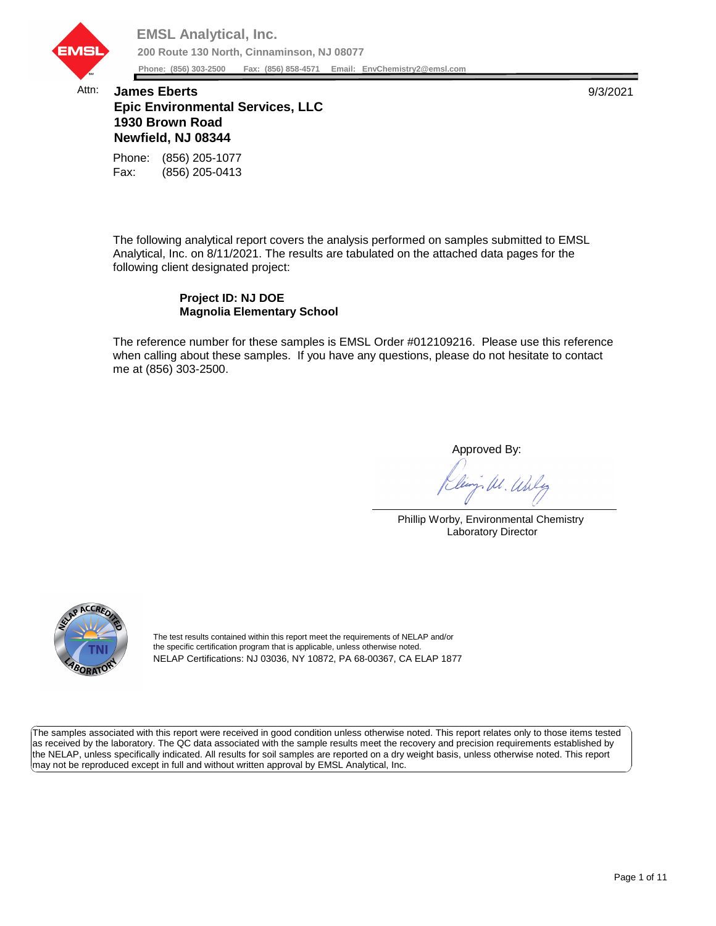

## Attn: **James Eberts** 9/3/2021 **Epic Environmental Services, LLC 1930 Brown Road Newfield, NJ 08344**

Fax: (856) 205-0413 Phone: (856) 205-1077

The following analytical report covers the analysis performed on samples submitted to EMSL Analytical, Inc. on 8/11/2021. The results are tabulated on the attached data pages for the following client designated project:

## **Project ID: NJ DOE Magnolia Elementary School**

The reference number for these samples is EMSL Order #012109216. Please use this reference when calling about these samples. If you have any questions, please do not hesitate to contact me at (856) 303-2500.

Approved By:

W. Whly

Phillip Worby, Environmental Chemistry Laboratory Director



The test results contained within this report meet the requirements of NELAP and/or the specific certification program that is applicable, unless otherwise noted. NELAP Certifications: NJ 03036, NY 10872, PA 68-00367, CA ELAP 1877

The samples associated with this report were received in good condition unless otherwise noted. This report relates only to those items tested as received by the laboratory. The QC data associated with the sample results meet the recovery and precision requirements established by the NELAP, unless specifically indicated. All results for soil samples are reported on a dry weight basis, unless otherwise noted. This report may not be reproduced except in full and without written approval by EMSL Analytical, Inc.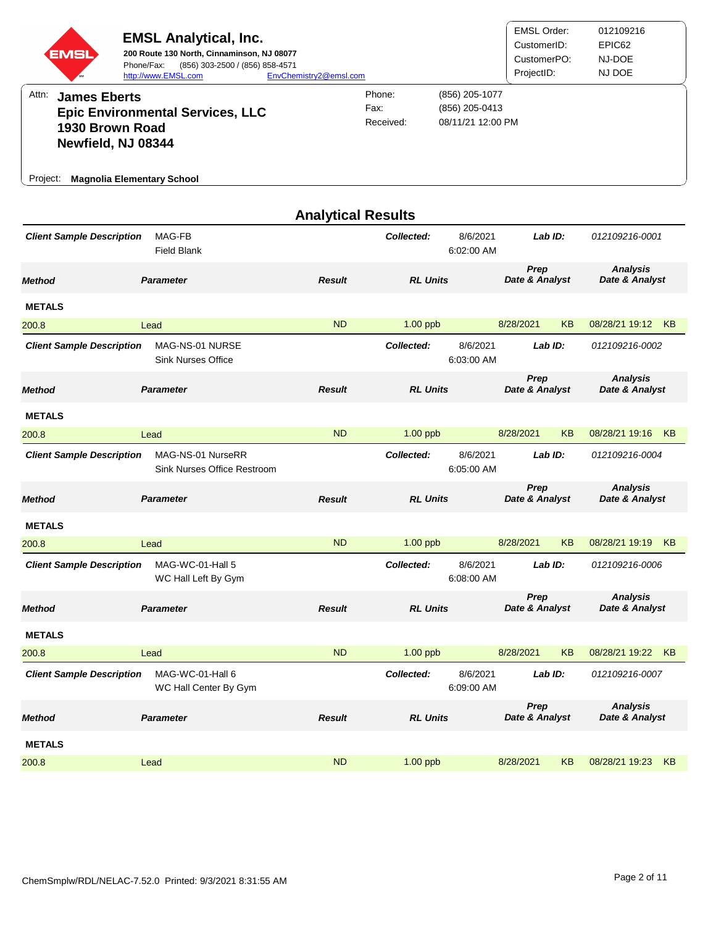| EMSI<br>Attn:<br><b>James Eberts</b><br>1930 Brown Road<br>Newfield, NJ 08344<br><b>Magnolia Elementary School</b><br>Project: | <b>EMSL Analytical, Inc.</b><br>200 Route 130 North, Cinnaminson, NJ 08077<br>Phone/Fax:<br>(856) 303-2500 / (856) 858-4571<br>http://www.EMSL.com<br><b>Epic Environmental Services, LLC</b> | EnvChemistry2@emsl.com    | Phone:<br>Fax:<br>Received: | (856) 205-1077<br>(856) 205-0413<br>08/11/21 12:00 PM | <b>EMSL Order:</b><br>CustomerID:<br>CustomerPO:<br>ProjectID: |           | 012109216<br>EPIC62<br>NJ-DOE<br>NJ DOE |    |
|--------------------------------------------------------------------------------------------------------------------------------|-----------------------------------------------------------------------------------------------------------------------------------------------------------------------------------------------|---------------------------|-----------------------------|-------------------------------------------------------|----------------------------------------------------------------|-----------|-----------------------------------------|----|
| <b>Client Sample Description</b>                                                                                               | MAG-FB<br><b>Field Blank</b>                                                                                                                                                                  | <b>Analytical Results</b> | Collected:                  | 8/6/2021<br>6:02:00 AM                                | Lab ID:                                                        |           | 012109216-0001                          |    |
| <b>Method</b>                                                                                                                  | <b>Parameter</b>                                                                                                                                                                              | <b>Result</b>             | <b>RL Units</b>             |                                                       | Prep<br>Date & Analyst                                         |           | <b>Analysis</b><br>Date & Analyst       |    |
| <b>METALS</b>                                                                                                                  |                                                                                                                                                                                               |                           |                             |                                                       |                                                                |           |                                         |    |
| 200.8                                                                                                                          | Lead                                                                                                                                                                                          | <b>ND</b>                 | 1.00 ppb                    |                                                       | 8/28/2021                                                      | <b>KB</b> | 08/28/21 19:12 KB                       |    |
| <b>Client Sample Description</b>                                                                                               | MAG-NS-01 NURSE<br><b>Sink Nurses Office</b>                                                                                                                                                  |                           | Collected:                  | 8/6/2021<br>6:03:00 AM                                | Lab ID:                                                        |           | 012109216-0002                          |    |
| <b>Method</b>                                                                                                                  | <b>Parameter</b>                                                                                                                                                                              | <b>Result</b>             | <b>RL Units</b>             |                                                       | Prep<br>Date & Analyst                                         |           | <b>Analysis</b><br>Date & Analyst       |    |
| <b>METALS</b>                                                                                                                  |                                                                                                                                                                                               |                           |                             |                                                       |                                                                |           |                                         |    |
| 200.8                                                                                                                          | Lead                                                                                                                                                                                          | <b>ND</b>                 | 1.00 ppb                    |                                                       | 8/28/2021                                                      | KB        | 08/28/21 19:16 KB                       |    |
| <b>Client Sample Description</b>                                                                                               | MAG-NS-01 NurseRR<br>Sink Nurses Office Restroom                                                                                                                                              |                           | Collected:                  | 8/6/2021<br>6:05:00 AM                                | Lab ID:                                                        |           | 012109216-0004                          |    |
| <b>Method</b>                                                                                                                  | <b>Parameter</b>                                                                                                                                                                              | <b>Result</b>             | <b>RL Units</b>             |                                                       | Prep<br>Date & Analyst                                         |           | <b>Analysis</b><br>Date & Analyst       |    |
| <b>METALS</b>                                                                                                                  |                                                                                                                                                                                               |                           |                             |                                                       |                                                                |           |                                         |    |
| 200.8                                                                                                                          | Lead                                                                                                                                                                                          | ND                        | 1.00 ppb                    |                                                       | 8/28/2021                                                      | <b>KB</b> | 08/28/21 19:19 KB                       |    |
| <b>Client Sample Description</b>                                                                                               | MAG-WC-01-Hall 5<br>WC Hall Left By Gym                                                                                                                                                       |                           | Collected:                  | 8/6/2021<br>6:08:00 AM                                | Lab ID:                                                        |           | 012109216-0006                          |    |
| <b>Method</b>                                                                                                                  | <b>Parameter</b>                                                                                                                                                                              | <b>Result</b>             | <b>RL Units</b>             |                                                       | Prep<br>Date & Analyst                                         |           | <b>Analysis</b><br>Date & Analyst       |    |
| <b>METALS</b>                                                                                                                  |                                                                                                                                                                                               |                           |                             |                                                       |                                                                |           |                                         |    |
| 200.8                                                                                                                          | Lead                                                                                                                                                                                          | <b>ND</b>                 | 1.00 ppb                    |                                                       | 8/28/2021                                                      | KB        | 08/28/21 19:22                          | KB |
| <b>Client Sample Description</b>                                                                                               | MAG-WC-01-Hall 6<br>WC Hall Center By Gym                                                                                                                                                     |                           | Collected:                  | 8/6/2021<br>6:09:00 AM                                | Lab ID:                                                        |           | 012109216-0007                          |    |
| <b>Method</b>                                                                                                                  | <b>Parameter</b>                                                                                                                                                                              | <b>Result</b>             | <b>RL Units</b>             |                                                       | Prep<br>Date & Analyst                                         |           | <b>Analysis</b><br>Date & Analyst       |    |
| <b>METALS</b>                                                                                                                  |                                                                                                                                                                                               |                           |                             |                                                       |                                                                |           |                                         |    |
| 200.8                                                                                                                          | Lead                                                                                                                                                                                          | <b>ND</b>                 | $1.00$ ppb                  |                                                       | 8/28/2021                                                      | ΚB        | 08/28/21 19:23                          | KB |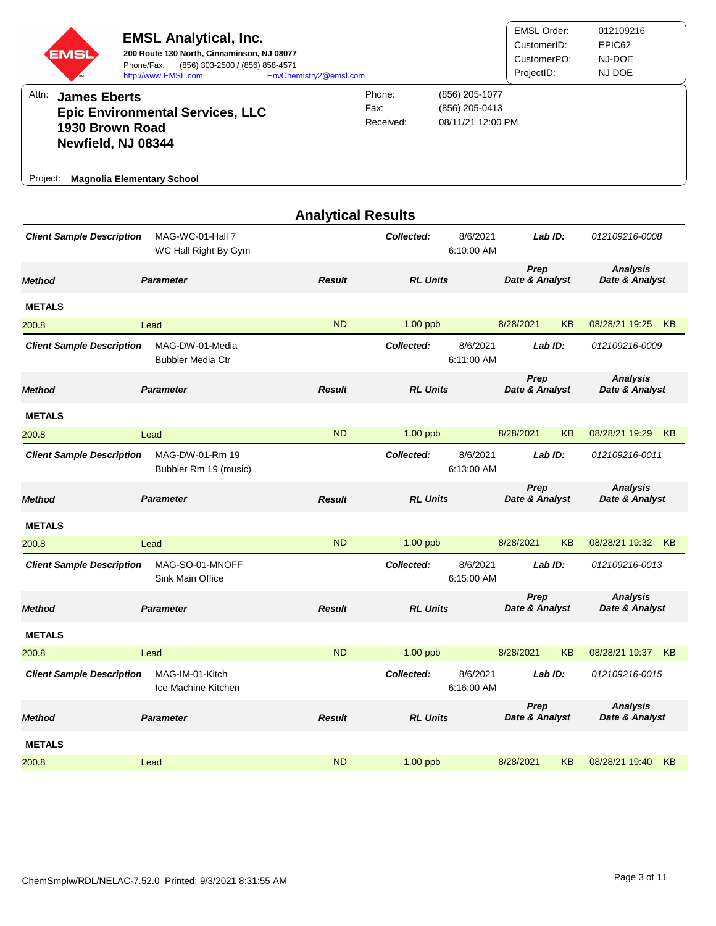| EMSI<br>Attn:<br><b>James Eberts</b><br>1930 Brown Road<br>Newfield, NJ 08344<br><b>Magnolia Elementary School</b><br>Project: | <b>EMSL Analytical, Inc.</b><br>200 Route 130 North, Cinnaminson, NJ 08077<br>Phone/Fax:<br>(856) 303-2500 / (856) 858-4571<br>http://www.EMSL.com<br><b>Epic Environmental Services, LLC</b> | EnvChemistry2@emsl.com    | Phone:<br>Fax:<br>Received: | (856) 205-1077<br>(856) 205-0413<br>08/11/21 12:00 PM | <b>EMSL Order:</b><br>CustomerID:<br>CustomerPO:<br>ProjectID: |           | 012109216<br>EPIC62<br>NJ-DOE<br>NJ DOE |    |
|--------------------------------------------------------------------------------------------------------------------------------|-----------------------------------------------------------------------------------------------------------------------------------------------------------------------------------------------|---------------------------|-----------------------------|-------------------------------------------------------|----------------------------------------------------------------|-----------|-----------------------------------------|----|
| <b>Client Sample Description</b>                                                                                               | MAG-WC-01-Hall 7                                                                                                                                                                              | <b>Analytical Results</b> | Collected:                  | 8/6/2021                                              | Lab ID:                                                        |           | 012109216-0008                          |    |
|                                                                                                                                | WC Hall Right By Gym                                                                                                                                                                          |                           |                             | 6:10:00 AM                                            |                                                                |           |                                         |    |
| <b>Method</b>                                                                                                                  | <b>Parameter</b>                                                                                                                                                                              | <b>Result</b>             | <b>RL Units</b>             |                                                       | Prep<br>Date & Analyst                                         |           | <b>Analysis</b><br>Date & Analyst       |    |
| <b>METALS</b>                                                                                                                  |                                                                                                                                                                                               |                           |                             |                                                       |                                                                |           |                                         |    |
| 200.8                                                                                                                          | Lead                                                                                                                                                                                          | <b>ND</b>                 | 1.00 ppb                    |                                                       | 8/28/2021                                                      | <b>KB</b> | 08/28/21 19:25                          | KB |
| <b>Client Sample Description</b>                                                                                               | MAG-DW-01-Media<br><b>Bubbler Media Ctr</b>                                                                                                                                                   |                           | Collected:                  | 8/6/2021<br>6:11:00 AM                                | Lab ID:                                                        |           | 012109216-0009                          |    |
| <b>Method</b>                                                                                                                  | <b>Parameter</b>                                                                                                                                                                              | <b>Result</b>             | <b>RL Units</b>             |                                                       | Prep<br>Date & Analyst                                         |           | <b>Analysis</b><br>Date & Analyst       |    |
| <b>METALS</b>                                                                                                                  |                                                                                                                                                                                               |                           |                             |                                                       |                                                                |           |                                         |    |
| 200.8                                                                                                                          | Lead                                                                                                                                                                                          | <b>ND</b>                 | 1.00 ppb                    |                                                       | 8/28/2021                                                      | KB        | 08/28/21 19:29                          | KB |
| <b>Client Sample Description</b>                                                                                               | MAG-DW-01-Rm 19<br>Bubbler Rm 19 (music)                                                                                                                                                      |                           | Collected:                  | 8/6/2021<br>6:13:00 AM                                | Lab ID:                                                        |           | 012109216-0011                          |    |
| <b>Method</b>                                                                                                                  | <b>Parameter</b>                                                                                                                                                                              | <b>Result</b>             | <b>RL Units</b>             |                                                       | Prep<br>Date & Analyst                                         |           | <b>Analysis</b><br>Date & Analyst       |    |
| <b>METALS</b>                                                                                                                  |                                                                                                                                                                                               |                           |                             |                                                       |                                                                |           |                                         |    |
| 200.8                                                                                                                          | Lead                                                                                                                                                                                          | ND                        | 1.00 ppb                    |                                                       | 8/28/2021                                                      | <b>KB</b> | 08/28/21 19:32 KB                       |    |
| <b>Client Sample Description</b>                                                                                               | MAG-SO-01-MNOFF<br>Sink Main Office                                                                                                                                                           |                           | Collected:                  | 8/6/2021<br>6:15:00 AM                                | Lab ID:                                                        |           | 012109216-0013                          |    |
| <b>Method</b>                                                                                                                  | <b>Parameter</b>                                                                                                                                                                              | <b>Result</b>             | <b>RL Units</b>             |                                                       | Prep<br>Date & Analyst                                         |           | <b>Analysis</b><br>Date & Analyst       |    |
| <b>METALS</b>                                                                                                                  |                                                                                                                                                                                               |                           |                             |                                                       |                                                                |           |                                         |    |
| 200.8                                                                                                                          | Lead                                                                                                                                                                                          | <b>ND</b>                 | 1.00 ppb                    |                                                       | 8/28/2021                                                      | KB        | 08/28/21 19:37                          | KB |
| <b>Client Sample Description</b>                                                                                               | MAG-IM-01-Kitch<br>Ice Machine Kitchen                                                                                                                                                        |                           | Collected:                  | 8/6/2021<br>6:16:00 AM                                | Lab ID:                                                        |           | 012109216-0015                          |    |
| <b>Method</b>                                                                                                                  | <b>Parameter</b>                                                                                                                                                                              | <b>Result</b>             | <b>RL Units</b>             |                                                       | Prep<br>Date & Analyst                                         |           | <b>Analysis</b><br>Date & Analyst       |    |
| <b>METALS</b>                                                                                                                  |                                                                                                                                                                                               |                           |                             |                                                       |                                                                |           |                                         |    |
| 200.8                                                                                                                          | Lead                                                                                                                                                                                          | <b>ND</b>                 | $1.00$ ppb                  |                                                       | 8/28/2021                                                      | KB        | 08/28/21 19:40                          | KB |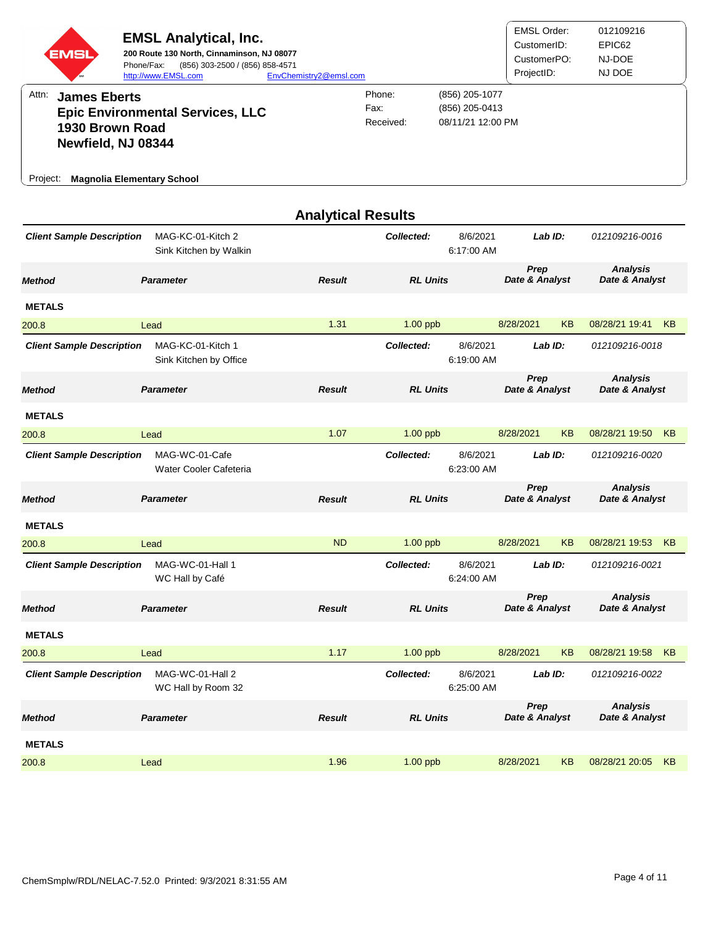| EMSI<br>Attn:<br><b>James Eberts</b><br>1930 Brown Road<br>Newfield, NJ 08344<br><b>Magnolia Elementary School</b><br>Project: | <b>EMSL Analytical, Inc.</b><br>200 Route 130 North, Cinnaminson, NJ 08077<br>Phone/Fax:<br>(856) 303-2500 / (856) 858-4571<br>http://www.EMSL.com<br><b>Epic Environmental Services, LLC</b> | EnvChemistry2@emsl.com    | Phone:<br>Fax:<br>Received: | (856) 205-1077<br>(856) 205-0413<br>08/11/21 12:00 PM | <b>EMSL Order:</b><br>CustomerID:<br>CustomerPO:<br>ProjectID: |           | 012109216<br>EPIC62<br>NJ-DOE<br>NJ DOE |    |
|--------------------------------------------------------------------------------------------------------------------------------|-----------------------------------------------------------------------------------------------------------------------------------------------------------------------------------------------|---------------------------|-----------------------------|-------------------------------------------------------|----------------------------------------------------------------|-----------|-----------------------------------------|----|
|                                                                                                                                |                                                                                                                                                                                               | <b>Analytical Results</b> |                             |                                                       |                                                                |           |                                         |    |
| <b>Client Sample Description</b>                                                                                               | MAG-KC-01-Kitch 2<br>Sink Kitchen by Walkin                                                                                                                                                   |                           | Collected:                  | 8/6/2021<br>6:17:00 AM                                | Lab ID:                                                        |           | 012109216-0016                          |    |
| <b>Method</b>                                                                                                                  | <b>Parameter</b>                                                                                                                                                                              | <b>Result</b>             | <b>RL Units</b>             |                                                       | Prep<br>Date & Analyst                                         |           | <b>Analysis</b><br>Date & Analyst       |    |
| <b>METALS</b>                                                                                                                  |                                                                                                                                                                                               |                           |                             |                                                       |                                                                |           |                                         |    |
| 200.8                                                                                                                          | Lead                                                                                                                                                                                          | 1.31                      | $1.00$ ppb                  |                                                       | 8/28/2021                                                      | <b>KB</b> | 08/28/21 19:41                          | KB |
| <b>Client Sample Description</b>                                                                                               | MAG-KC-01-Kitch 1<br>Sink Kitchen by Office                                                                                                                                                   |                           | Collected:                  | 8/6/2021<br>6:19:00 AM                                | Lab ID:                                                        |           | 012109216-0018                          |    |
| <b>Method</b>                                                                                                                  | <b>Parameter</b>                                                                                                                                                                              | <b>Result</b>             | <b>RL Units</b>             |                                                       | Prep<br>Date & Analyst                                         |           | <b>Analysis</b><br>Date & Analyst       |    |
| <b>METALS</b>                                                                                                                  |                                                                                                                                                                                               |                           |                             |                                                       |                                                                |           |                                         |    |
| 200.8                                                                                                                          | Lead                                                                                                                                                                                          | 1.07                      | $1.00$ ppb                  |                                                       | 8/28/2021                                                      | KB        | 08/28/21 19:50 KB                       |    |
| <b>Client Sample Description</b>                                                                                               | MAG-WC-01-Cafe<br>Water Cooler Cafeteria                                                                                                                                                      |                           | Collected:                  | 8/6/2021<br>6:23:00 AM                                | Lab ID:                                                        |           | 012109216-0020                          |    |
| <b>Method</b>                                                                                                                  | <b>Parameter</b>                                                                                                                                                                              | <b>Result</b>             | <b>RL Units</b>             |                                                       | Prep<br>Date & Analyst                                         |           | <b>Analysis</b><br>Date & Analyst       |    |
| <b>METALS</b>                                                                                                                  |                                                                                                                                                                                               |                           |                             |                                                       |                                                                |           |                                         |    |
| 200.8                                                                                                                          | Lead                                                                                                                                                                                          | <b>ND</b>                 | $1.00$ ppb                  |                                                       | 8/28/2021                                                      | KB        | 08/28/21 19:53 KB                       |    |
| <b>Client Sample Description</b>                                                                                               | MAG-WC-01-Hall 1<br>WC Hall by Café                                                                                                                                                           |                           | Collected:                  | 8/6/2021<br>6:24:00 AM                                | Lab ID:                                                        |           | 012109216-0021                          |    |
| <b>Method</b>                                                                                                                  | <b>Parameter</b>                                                                                                                                                                              | <b>Result</b>             | <b>RL Units</b>             |                                                       | Prep<br>Date & Analyst                                         |           | <b>Analysis</b><br>Date & Analyst       |    |
| <b>METALS</b>                                                                                                                  |                                                                                                                                                                                               |                           |                             |                                                       |                                                                |           |                                         |    |
| 200.8                                                                                                                          | Lead                                                                                                                                                                                          | 1.17                      | 1.00 ppb                    |                                                       | 8/28/2021                                                      | KB        | 08/28/21 19:58                          | KB |
| <b>Client Sample Description</b>                                                                                               | MAG-WC-01-Hall 2<br>WC Hall by Room 32                                                                                                                                                        |                           | Collected:                  | 8/6/2021<br>6:25:00 AM                                | Lab ID:                                                        |           | 012109216-0022                          |    |
| <b>Method</b>                                                                                                                  | <b>Parameter</b>                                                                                                                                                                              | <b>Result</b>             | <b>RL Units</b>             |                                                       | Prep<br>Date & Analyst                                         |           | <b>Analysis</b><br>Date & Analyst       |    |
| <b>METALS</b>                                                                                                                  |                                                                                                                                                                                               |                           |                             |                                                       |                                                                |           |                                         |    |
| 200.8                                                                                                                          | Lead                                                                                                                                                                                          | 1.96                      | $1.00$ ppb                  |                                                       | 8/28/2021                                                      | <b>KB</b> | 08/28/21 20:05                          | KB |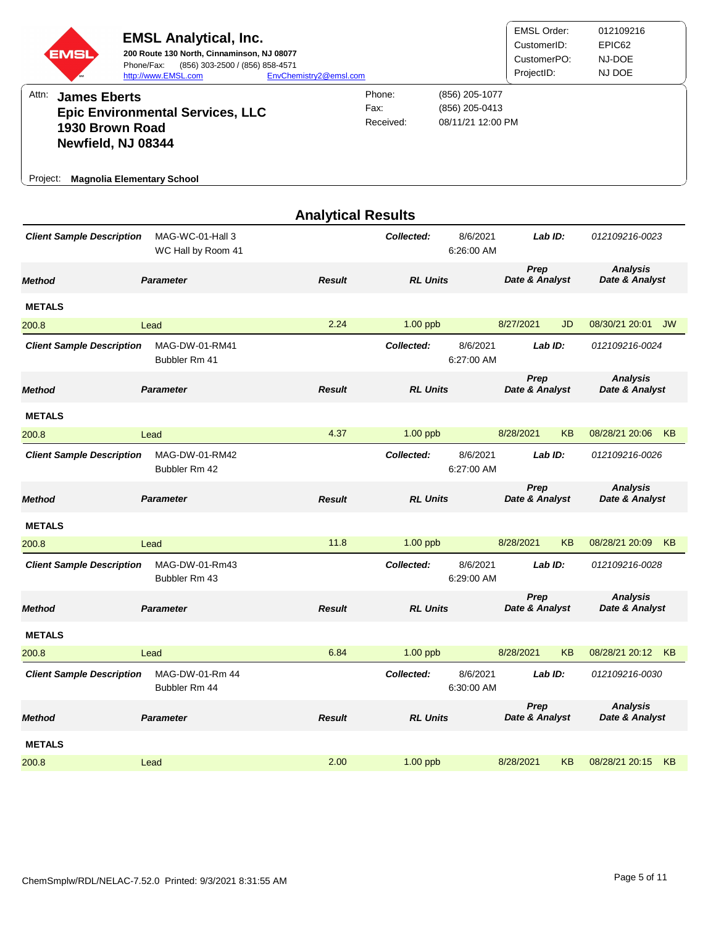| EMSI                                                                                                                   | <b>EMSL Analytical, Inc.</b><br>200 Route 130 North, Cinnaminson, NJ 08077<br>Phone/Fax:<br>(856) 303-2500 / (856) 858-4571<br>http://www.EMSL.com | EnvChemistry2@emsl.com    |                             |                                                       | <b>EMSL Order:</b><br>CustomerID:<br>CustomerPO:<br>ProjectID: |    | 012109216<br>EPIC62<br>NJ-DOE<br>NJ DOE |           |
|------------------------------------------------------------------------------------------------------------------------|----------------------------------------------------------------------------------------------------------------------------------------------------|---------------------------|-----------------------------|-------------------------------------------------------|----------------------------------------------------------------|----|-----------------------------------------|-----------|
| Attn:<br><b>James Eberts</b><br>1930 Brown Road<br>Newfield, NJ 08344<br><b>Magnolia Elementary School</b><br>Project: | <b>Epic Environmental Services, LLC</b>                                                                                                            |                           | Phone:<br>Fax:<br>Received: | (856) 205-1077<br>(856) 205-0413<br>08/11/21 12:00 PM |                                                                |    |                                         |           |
|                                                                                                                        |                                                                                                                                                    | <b>Analytical Results</b> |                             |                                                       |                                                                |    |                                         |           |
| <b>Client Sample Description</b>                                                                                       | MAG-WC-01-Hall 3<br>WC Hall by Room 41                                                                                                             |                           | Collected:                  | 8/6/2021<br>6:26:00 AM                                | Lab ID:                                                        |    | 012109216-0023                          |           |
| <b>Method</b>                                                                                                          | <b>Parameter</b>                                                                                                                                   | <b>Result</b>             | <b>RL Units</b>             |                                                       | Prep<br>Date & Analyst                                         |    | <b>Analysis</b><br>Date & Analyst       |           |
| <b>METALS</b>                                                                                                          |                                                                                                                                                    |                           |                             |                                                       |                                                                |    |                                         |           |
| 200.8                                                                                                                  | Lead                                                                                                                                               | 2.24                      | $1.00$ ppb                  |                                                       | 8/27/2021                                                      | JD | 08/30/21 20:01                          | <b>JW</b> |
| <b>Client Sample Description</b>                                                                                       | MAG-DW-01-RM41<br>Bubbler Rm 41                                                                                                                    |                           | Collected:                  | 8/6/2021<br>6:27:00 AM                                | Lab $ID:$                                                      |    | 012109216-0024                          |           |
| <b>Method</b>                                                                                                          | <b>Parameter</b>                                                                                                                                   | <b>Result</b>             | <b>RL Units</b>             |                                                       | Prep<br>Date & Analyst                                         |    | <b>Analysis</b><br>Date & Analyst       |           |
| <b>METALS</b>                                                                                                          |                                                                                                                                                    |                           |                             |                                                       |                                                                |    |                                         |           |
| 200.8                                                                                                                  | Lead                                                                                                                                               | 4.37                      | 1.00 ppb                    |                                                       | 8/28/2021                                                      | KB | 08/28/21 20:06                          | KB        |
| <b>Client Sample Description</b>                                                                                       | MAG-DW-01-RM42<br>Bubbler Rm 42                                                                                                                    |                           | Collected:                  | 8/6/2021<br>6:27:00 AM                                | Lab ID:                                                        |    | 012109216-0026                          |           |
| <b>Method</b>                                                                                                          | <b>Parameter</b>                                                                                                                                   | <b>Result</b>             | <b>RL Units</b>             |                                                       | Prep<br>Date & Analyst                                         |    | <b>Analysis</b><br>Date & Analyst       |           |
| <b>METALS</b>                                                                                                          |                                                                                                                                                    |                           |                             |                                                       |                                                                |    |                                         |           |
| 200.8                                                                                                                  | Lead                                                                                                                                               | 11.8                      | 1.00 ppb                    |                                                       | 8/28/2021                                                      | KB | 08/28/21 20:09 KB                       |           |
| <b>Client Sample Description</b>                                                                                       | MAG-DW-01-Rm43<br>Bubbler Rm 43                                                                                                                    |                           | Collected:                  | 8/6/2021<br>6:29:00 AM                                | Lab ID:                                                        |    | 012109216-0028                          |           |
| <b>Method</b>                                                                                                          | <b>Parameter</b>                                                                                                                                   | <b>Result</b>             | <b>RL Units</b>             |                                                       | Prep<br>Date & Analyst                                         |    | <b>Analysis</b><br>Date & Analyst       |           |
| <b>METALS</b>                                                                                                          |                                                                                                                                                    |                           |                             |                                                       |                                                                |    |                                         |           |
| 200.8                                                                                                                  | Lead                                                                                                                                               | 6.84                      | $1.00$ ppb                  |                                                       | 8/28/2021                                                      | KB | 08/28/21 20:12 KB                       |           |
| <b>Client Sample Description</b>                                                                                       | MAG-DW-01-Rm 44<br>Bubbler Rm 44                                                                                                                   |                           | Collected:                  | 8/6/2021<br>6:30:00 AM                                | Lab ID:                                                        |    | 012109216-0030                          |           |
| <b>Method</b>                                                                                                          | <b>Parameter</b>                                                                                                                                   | <b>Result</b>             | <b>RL Units</b>             |                                                       | Prep<br>Date & Analyst                                         |    | <b>Analysis</b><br>Date & Analyst       |           |
| <b>METALS</b>                                                                                                          |                                                                                                                                                    |                           |                             |                                                       |                                                                |    |                                         |           |
| 200.8                                                                                                                  | Lead                                                                                                                                               | 2.00                      | 1.00 ppb                    |                                                       | 8/28/2021                                                      | KB | 08/28/21 20:15                          | KB        |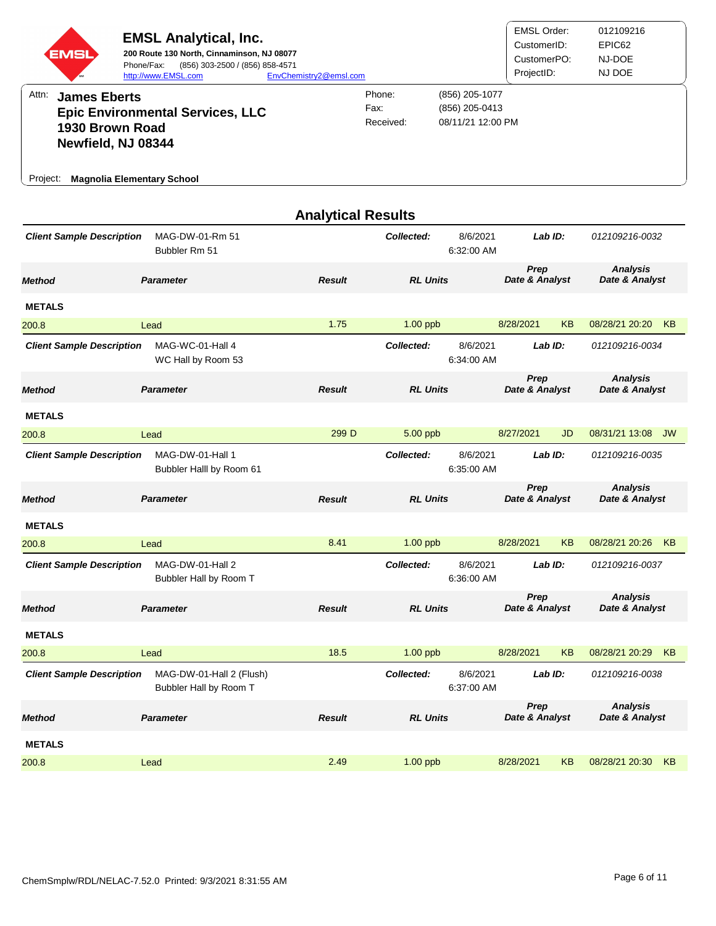| EMSI<br>Attn:<br><b>James Eberts</b>                                                   | <b>EMSL Analytical, Inc.</b><br>200 Route 130 North, Cinnaminson, NJ 08077<br>Phone/Fax:<br>(856) 303-2500 / (856) 858-4571<br>http://www.EMSL.com | EnvChemistry2@emsl.com    | Phone:<br>Fax:  | (856) 205-1077<br>(856) 205-0413 | <b>EMSL Order:</b><br>CustomerID:<br>CustomerPO:<br>ProjectID: |         | 012109216<br>EPIC62<br>NJ-DOE<br>NJ DOE |    |
|----------------------------------------------------------------------------------------|----------------------------------------------------------------------------------------------------------------------------------------------------|---------------------------|-----------------|----------------------------------|----------------------------------------------------------------|---------|-----------------------------------------|----|
| 1930 Brown Road<br>Newfield, NJ 08344<br><b>Magnolia Elementary School</b><br>Project: | <b>Epic Environmental Services, LLC</b>                                                                                                            |                           | Received:       | 08/11/21 12:00 PM                |                                                                |         |                                         |    |
|                                                                                        |                                                                                                                                                    | <b>Analytical Results</b> |                 |                                  |                                                                |         |                                         |    |
| <b>Client Sample Description</b>                                                       | MAG-DW-01-Rm 51<br>Bubbler Rm 51                                                                                                                   |                           | Collected:      | 8/6/2021<br>6:32:00 AM           |                                                                | Lab ID: | 012109216-0032                          |    |
| <b>Method</b>                                                                          | <b>Parameter</b>                                                                                                                                   | <b>Result</b>             | <b>RL Units</b> |                                  | Prep<br>Date & Analyst                                         |         | <b>Analysis</b><br>Date & Analyst       |    |
| <b>METALS</b>                                                                          |                                                                                                                                                    |                           |                 |                                  |                                                                |         |                                         |    |
| 200.8                                                                                  | Lead                                                                                                                                               | 1.75                      | $1.00$ ppb      |                                  | 8/28/2021                                                      | KB      | 08/28/21 20:20                          | KB |
| <b>Client Sample Description</b>                                                       | MAG-WC-01-Hall 4<br>WC Hall by Room 53                                                                                                             |                           | Collected:      | 8/6/2021<br>6:34:00 AM           |                                                                | Lab ID: | 012109216-0034                          |    |
| <b>Method</b>                                                                          | <b>Parameter</b>                                                                                                                                   | <b>Result</b>             | <b>RL Units</b> |                                  | Prep<br>Date & Analyst                                         |         | <b>Analysis</b><br>Date & Analyst       |    |
| <b>METALS</b>                                                                          |                                                                                                                                                    |                           |                 |                                  |                                                                |         |                                         |    |
| 200.8                                                                                  | Lead                                                                                                                                               | 299 D                     | 5.00 ppb        |                                  | 8/27/2021                                                      | JD      | 08/31/21 13:08 JW                       |    |
| <b>Client Sample Description</b>                                                       | MAG-DW-01-Hall 1<br>Bubbler Halll by Room 61                                                                                                       |                           | Collected:      | 8/6/2021<br>6:35:00 AM           |                                                                | Lab ID: | 012109216-0035                          |    |
| <b>Method</b>                                                                          | <b>Parameter</b>                                                                                                                                   | <b>Result</b>             | <b>RL Units</b> |                                  | Prep<br>Date & Analyst                                         |         | <b>Analysis</b><br>Date & Analyst       |    |
| <b>METALS</b>                                                                          |                                                                                                                                                    |                           |                 |                                  |                                                                |         |                                         |    |
| 200.8                                                                                  | Lead                                                                                                                                               | 8.41                      | 1.00 ppb        |                                  | 8/28/2021                                                      | KB      | 08/28/21 20:26 KB                       |    |
| <b>Client Sample Description</b>                                                       | MAG-DW-01-Hall 2<br>Bubbler Hall by Room T                                                                                                         |                           | Collected:      | 8/6/2021<br>6:36:00 AM           |                                                                | Lab ID: | 012109216-0037                          |    |
| <b>Method</b>                                                                          | <b>Parameter</b>                                                                                                                                   | <b>Result</b>             | <b>RL Units</b> |                                  | Prep<br>Date & Analyst                                         |         | <b>Analysis</b><br>Date & Analyst       |    |
| <b>METALS</b>                                                                          |                                                                                                                                                    |                           |                 |                                  |                                                                |         |                                         |    |
| 200.8                                                                                  | Lead                                                                                                                                               | 18.5                      | $1.00$ ppb      |                                  | 8/28/2021                                                      | KB      | 08/28/21 20:29                          | KB |
| <b>Client Sample Description</b>                                                       | MAG-DW-01-Hall 2 (Flush)<br>Bubbler Hall by Room T                                                                                                 |                           | Collected:      | 8/6/2021<br>6:37:00 AM           |                                                                | Lab ID: | 012109216-0038                          |    |
| <b>Method</b>                                                                          | <b>Parameter</b>                                                                                                                                   | <b>Result</b>             | <b>RL Units</b> |                                  | Prep<br>Date & Analyst                                         |         | <b>Analysis</b><br>Date & Analyst       |    |
| <b>METALS</b>                                                                          |                                                                                                                                                    |                           |                 |                                  |                                                                |         |                                         |    |
| 200.8                                                                                  | Lead                                                                                                                                               | 2.49                      | 1.00 ppb        |                                  | 8/28/2021                                                      | KB      | 08/28/21 20:30                          | KB |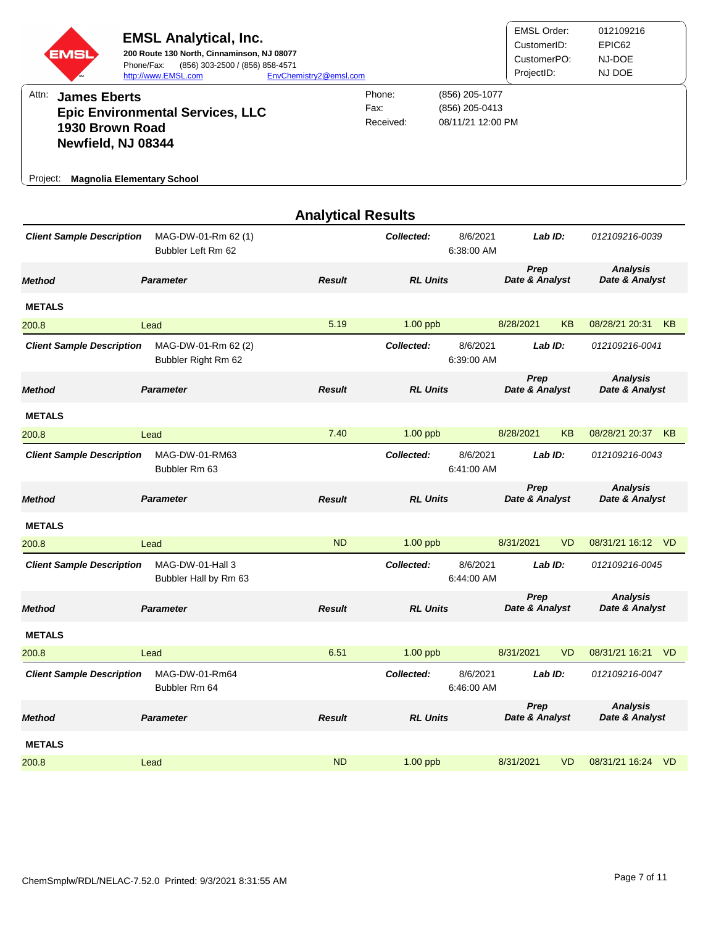| EMSI<br>Attn:<br><b>James Eberts</b><br>1930 Brown Road<br>Newfield, NJ 08344<br><b>Magnolia Elementary School</b><br>Project: | <b>EMSL Analytical, Inc.</b><br>200 Route 130 North, Cinnaminson, NJ 08077<br>Phone/Fax:<br>(856) 303-2500 / (856) 858-4571<br>http://www.EMSL.com<br><b>Epic Environmental Services, LLC</b> | EnvChemistry2@emsl.com    | Phone:<br>Fax:<br>Received: | (856) 205-1077<br>(856) 205-0413<br>08/11/21 12:00 PM | <b>EMSL Order:</b><br>CustomerID:<br>CustomerPO:<br>ProjectID: |           | 012109216<br>EPIC62<br>NJ-DOE<br>NJ DOE |    |
|--------------------------------------------------------------------------------------------------------------------------------|-----------------------------------------------------------------------------------------------------------------------------------------------------------------------------------------------|---------------------------|-----------------------------|-------------------------------------------------------|----------------------------------------------------------------|-----------|-----------------------------------------|----|
|                                                                                                                                |                                                                                                                                                                                               | <b>Analytical Results</b> | Collected:                  | 8/6/2021                                              | Lab ID:                                                        |           | 012109216-0039                          |    |
| <b>Client Sample Description</b>                                                                                               | MAG-DW-01-Rm 62 (1)<br>Bubbler Left Rm 62                                                                                                                                                     |                           |                             | 6:38:00 AM                                            |                                                                |           |                                         |    |
| <b>Method</b>                                                                                                                  | <b>Parameter</b>                                                                                                                                                                              | <b>Result</b>             | <b>RL Units</b>             |                                                       | Prep<br>Date & Analyst                                         |           | <b>Analysis</b><br>Date & Analyst       |    |
| <b>METALS</b>                                                                                                                  |                                                                                                                                                                                               |                           |                             |                                                       |                                                                |           |                                         |    |
| 200.8                                                                                                                          | Lead                                                                                                                                                                                          | 5.19                      | 1.00 ppb                    |                                                       | 8/28/2021                                                      | <b>KB</b> | 08/28/21 20:31                          | KB |
| <b>Client Sample Description</b>                                                                                               | MAG-DW-01-Rm 62 (2)<br>Bubbler Right Rm 62                                                                                                                                                    |                           | Collected:                  | 8/6/2021<br>6:39:00 AM                                | Lab ID:                                                        |           | 012109216-0041                          |    |
| <b>Method</b>                                                                                                                  | <b>Parameter</b>                                                                                                                                                                              | <b>Result</b>             | <b>RL Units</b>             |                                                       | Prep<br>Date & Analyst                                         |           | <b>Analysis</b><br>Date & Analyst       |    |
| <b>METALS</b>                                                                                                                  |                                                                                                                                                                                               |                           |                             |                                                       |                                                                |           |                                         |    |
| 200.8                                                                                                                          | Lead                                                                                                                                                                                          | 7.40                      | 1.00 ppb                    |                                                       | 8/28/2021                                                      | KB        | 08/28/21 20:37 KB                       |    |
| <b>Client Sample Description</b>                                                                                               | MAG-DW-01-RM63<br>Bubbler Rm 63                                                                                                                                                               |                           | Collected:                  | 8/6/2021<br>6:41:00 AM                                | Lab ID:                                                        |           | 012109216-0043                          |    |
| <b>Method</b>                                                                                                                  | <b>Parameter</b>                                                                                                                                                                              | <b>Result</b>             | <b>RL Units</b>             |                                                       | Prep<br>Date & Analyst                                         |           | <b>Analysis</b><br>Date & Analyst       |    |
| <b>METALS</b>                                                                                                                  |                                                                                                                                                                                               |                           |                             |                                                       |                                                                |           |                                         |    |
| 200.8                                                                                                                          | Lead                                                                                                                                                                                          | ND                        | 1.00 ppb                    |                                                       | 8/31/2021                                                      | VD        | 08/31/21 16:12 VD                       |    |
| <b>Client Sample Description</b>                                                                                               | MAG-DW-01-Hall 3<br>Bubbler Hall by Rm 63                                                                                                                                                     |                           | Collected:                  | 8/6/2021<br>6:44:00 AM                                | Lab ID:                                                        |           | 012109216-0045                          |    |
| <b>Method</b>                                                                                                                  | <b>Parameter</b>                                                                                                                                                                              | <b>Result</b>             | <b>RL Units</b>             |                                                       | Prep<br>Date & Analyst                                         |           | <b>Analysis</b><br>Date & Analyst       |    |
| <b>METALS</b>                                                                                                                  |                                                                                                                                                                                               |                           |                             |                                                       |                                                                |           |                                         |    |
| 200.8                                                                                                                          | Lead                                                                                                                                                                                          | 6.51                      | $1.00$ ppb                  |                                                       | 8/31/2021                                                      | <b>VD</b> | 08/31/21 16:21 VD                       |    |
| <b>Client Sample Description</b>                                                                                               | MAG-DW-01-Rm64<br>Bubbler Rm 64                                                                                                                                                               |                           | Collected:                  | 8/6/2021<br>6:46:00 AM                                | Lab ID:                                                        |           | 012109216-0047                          |    |
| <b>Method</b>                                                                                                                  | <b>Parameter</b>                                                                                                                                                                              | <b>Result</b>             | <b>RL Units</b>             |                                                       | Prep<br>Date & Analyst                                         |           | <b>Analysis</b><br>Date & Analyst       |    |
| <b>METALS</b>                                                                                                                  |                                                                                                                                                                                               |                           |                             |                                                       |                                                                |           |                                         |    |
| 200.8                                                                                                                          | Lead                                                                                                                                                                                          | <b>ND</b>                 | 1.00 ppb                    |                                                       | 8/31/2021                                                      | VD        | 08/31/21 16:24 VD                       |    |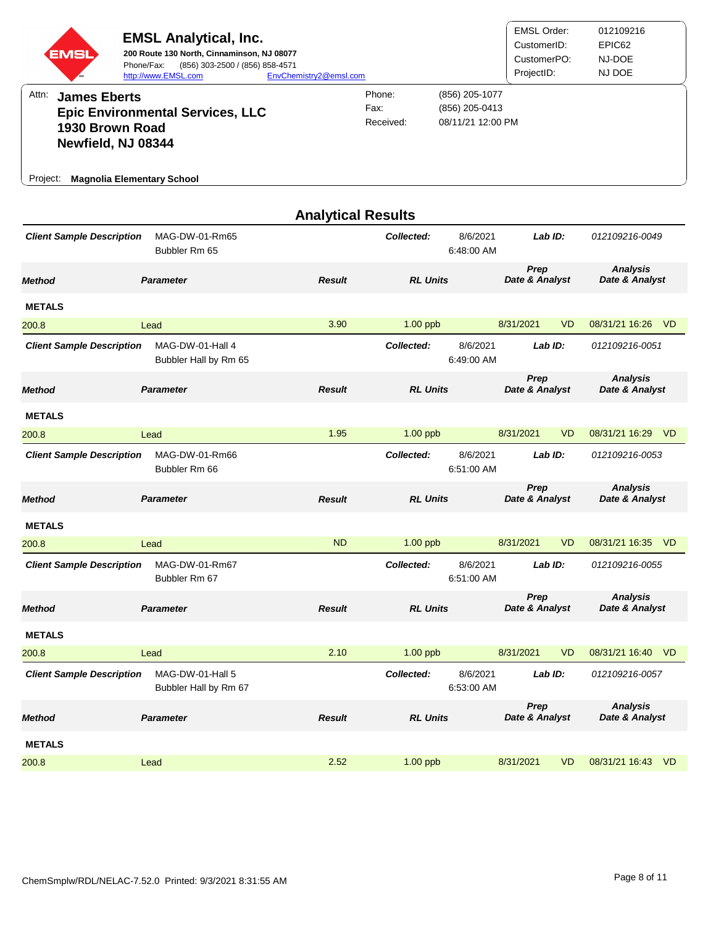| EMSI<br>Attn:<br><b>James Eberts</b><br>1930 Brown Road<br>Newfield, NJ 08344<br><b>Magnolia Elementary School</b><br>Project: | <b>EMSL Analytical, Inc.</b><br>200 Route 130 North, Cinnaminson, NJ 08077<br>Phone/Fax:<br>(856) 303-2500 / (856) 858-4571<br>http://www.EMSL.com<br><b>Epic Environmental Services, LLC</b> | EnvChemistry2@emsl.com    | Phone:<br>Fax:<br>Received: | (856) 205-1077<br>(856) 205-0413<br>08/11/21 12:00 PM | <b>EMSL Order:</b><br>CustomerID:<br>CustomerPO:<br>ProjectID: |           | 012109216<br>EPIC62<br>NJ-DOE<br>NJ DOE |  |
|--------------------------------------------------------------------------------------------------------------------------------|-----------------------------------------------------------------------------------------------------------------------------------------------------------------------------------------------|---------------------------|-----------------------------|-------------------------------------------------------|----------------------------------------------------------------|-----------|-----------------------------------------|--|
| <b>Client Sample Description</b>                                                                                               | MAG-DW-01-Rm65<br>Bubbler Rm 65                                                                                                                                                               | <b>Analytical Results</b> | Collected:                  | 8/6/2021<br>6:48:00 AM                                | Lab ID:                                                        |           | 012109216-0049                          |  |
| <b>Method</b>                                                                                                                  | <b>Parameter</b>                                                                                                                                                                              | <b>Result</b>             | <b>RL Units</b>             |                                                       | Prep<br>Date & Analyst                                         |           | <b>Analysis</b><br>Date & Analyst       |  |
| <b>METALS</b>                                                                                                                  |                                                                                                                                                                                               |                           |                             |                                                       |                                                                |           |                                         |  |
| 200.8                                                                                                                          | Lead                                                                                                                                                                                          | 3.90                      | 1.00 ppb                    |                                                       | 8/31/2021                                                      | <b>VD</b> | 08/31/21 16:26 VD                       |  |
| <b>Client Sample Description</b>                                                                                               | MAG-DW-01-Hall 4<br>Bubbler Hall by Rm 65                                                                                                                                                     |                           | Collected:                  | 8/6/2021<br>6:49:00 AM                                | Lab ID:                                                        |           | 012109216-0051                          |  |
| <b>Method</b>                                                                                                                  | <b>Parameter</b>                                                                                                                                                                              | <b>Result</b>             | <b>RL Units</b>             |                                                       | Prep<br>Date & Analyst                                         |           | <b>Analysis</b><br>Date & Analyst       |  |
| <b>METALS</b>                                                                                                                  |                                                                                                                                                                                               |                           |                             |                                                       |                                                                |           |                                         |  |
| 200.8                                                                                                                          | Lead                                                                                                                                                                                          | 1.95                      | 1.00 ppb                    |                                                       | 8/31/2021                                                      | VD        | 08/31/21 16:29 VD                       |  |
| <b>Client Sample Description</b>                                                                                               | MAG-DW-01-Rm66<br>Bubbler Rm 66                                                                                                                                                               |                           | Collected:                  | 8/6/2021<br>6:51:00 AM                                | Lab ID:                                                        |           | 012109216-0053                          |  |
| <b>Method</b>                                                                                                                  | <b>Parameter</b>                                                                                                                                                                              | <b>Result</b>             | <b>RL Units</b>             |                                                       | Prep<br>Date & Analyst                                         |           | <b>Analysis</b><br>Date & Analyst       |  |
| <b>METALS</b>                                                                                                                  |                                                                                                                                                                                               |                           |                             |                                                       |                                                                |           |                                         |  |
| 200.8                                                                                                                          | Lead                                                                                                                                                                                          | ND                        | 1.00 ppb                    |                                                       | 8/31/2021                                                      | VD        | 08/31/21 16:35 VD                       |  |
| <b>Client Sample Description</b>                                                                                               | MAG-DW-01-Rm67<br>Bubbler Rm 67                                                                                                                                                               |                           | Collected:                  | 8/6/2021<br>6:51:00 AM                                | Lab ID:                                                        |           | 012109216-0055                          |  |
| <b>Method</b>                                                                                                                  | <b>Parameter</b>                                                                                                                                                                              | <b>Result</b>             | <b>RL Units</b>             |                                                       | Prep<br>Date & Analyst                                         |           | <b>Analysis</b><br>Date & Analyst       |  |
| <b>METALS</b>                                                                                                                  |                                                                                                                                                                                               |                           |                             |                                                       |                                                                |           |                                         |  |
| 200.8                                                                                                                          | Lead                                                                                                                                                                                          | 2.10                      | 1.00 ppb                    |                                                       | 8/31/2021                                                      | <b>VD</b> | 08/31/21 16:40 VD                       |  |
| <b>Client Sample Description</b>                                                                                               | MAG-DW-01-Hall 5<br>Bubbler Hall by Rm 67                                                                                                                                                     |                           | Collected:                  | 8/6/2021<br>6:53:00 AM                                | Lab ID:                                                        |           | 012109216-0057                          |  |
| <b>Method</b>                                                                                                                  | <b>Parameter</b>                                                                                                                                                                              | <b>Result</b>             | <b>RL Units</b>             |                                                       | Prep<br>Date & Analyst                                         |           | <b>Analysis</b><br>Date & Analyst       |  |
| <b>METALS</b>                                                                                                                  |                                                                                                                                                                                               |                           |                             |                                                       |                                                                |           |                                         |  |
| 200.8                                                                                                                          | Lead                                                                                                                                                                                          | 2.52                      | $1.00$ ppb                  |                                                       | 8/31/2021                                                      | VD        | 08/31/21 16:43 VD                       |  |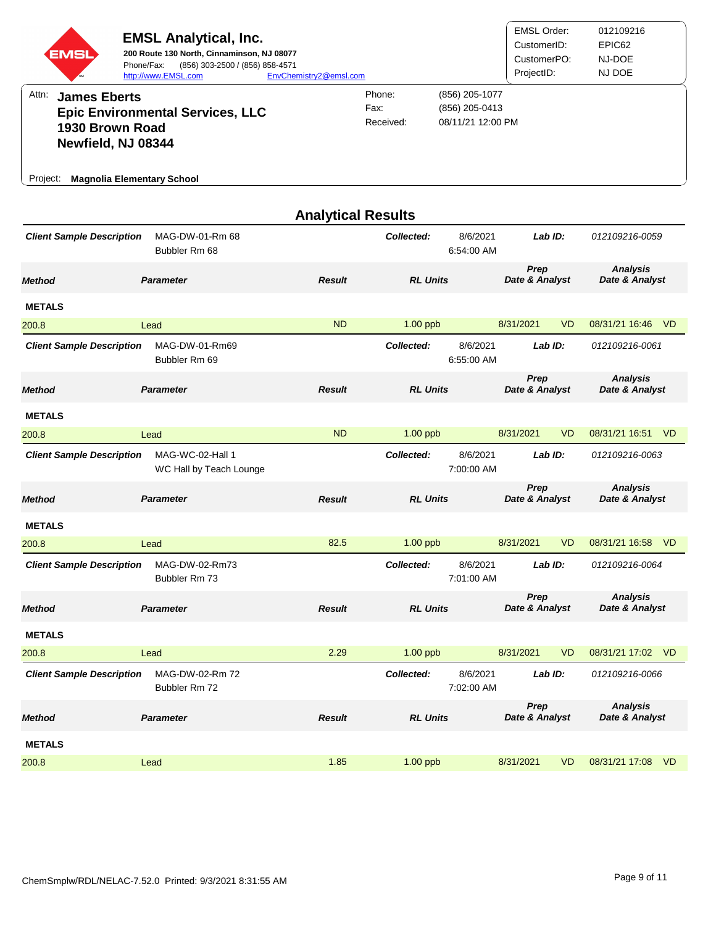| EMSI                                                                                                                   | <b>EMSL Analytical, Inc.</b><br>200 Route 130 North, Cinnaminson, NJ 08077<br>Phone/Fax:<br>(856) 303-2500 / (856) 858-4571<br>http://www.EMSL.com | EnvChemistry2@emsl.com    |                             |                                                       | <b>EMSL Order:</b><br>CustomerID:<br>CustomerPO:<br>ProjectID: | 012109216<br>EPIC62<br>NJ-DOE<br>NJ DOE |
|------------------------------------------------------------------------------------------------------------------------|----------------------------------------------------------------------------------------------------------------------------------------------------|---------------------------|-----------------------------|-------------------------------------------------------|----------------------------------------------------------------|-----------------------------------------|
| Attn:<br><b>James Eberts</b><br>1930 Brown Road<br>Newfield, NJ 08344<br><b>Magnolia Elementary School</b><br>Project: | <b>Epic Environmental Services, LLC</b>                                                                                                            |                           | Phone:<br>Fax:<br>Received: | (856) 205-1077<br>(856) 205-0413<br>08/11/21 12:00 PM |                                                                |                                         |
|                                                                                                                        |                                                                                                                                                    | <b>Analytical Results</b> |                             |                                                       |                                                                |                                         |
| <b>Client Sample Description</b>                                                                                       | MAG-DW-01-Rm 68<br>Bubbler Rm 68                                                                                                                   |                           | Collected:                  | 8/6/2021<br>6:54:00 AM                                | Lab ID:                                                        | 012109216-0059                          |
| <b>Method</b>                                                                                                          | <b>Parameter</b>                                                                                                                                   | <b>Result</b>             | <b>RL Units</b>             |                                                       | Prep<br>Date & Analyst                                         | <b>Analysis</b><br>Date & Analyst       |
| <b>METALS</b>                                                                                                          |                                                                                                                                                    |                           |                             |                                                       |                                                                |                                         |
| 200.8                                                                                                                  | Lead                                                                                                                                               | <b>ND</b>                 | $1.00$ ppb                  |                                                       | 8/31/2021                                                      | 08/31/21 16:46<br>VD.<br>V <sub>D</sub> |
| <b>Client Sample Description</b>                                                                                       | MAG-DW-01-Rm69<br>Bubbler Rm 69                                                                                                                    |                           | Collected:                  | 8/6/2021<br>6:55:00 AM                                | Lab $ID:$                                                      | 012109216-0061                          |
| <b>Method</b>                                                                                                          | <b>Parameter</b>                                                                                                                                   | <b>Result</b>             | <b>RL Units</b>             |                                                       | Prep<br>Date & Analyst                                         | <b>Analysis</b><br>Date & Analyst       |
| <b>METALS</b>                                                                                                          |                                                                                                                                                    |                           |                             |                                                       |                                                                |                                         |
| 200.8                                                                                                                  | Lead                                                                                                                                               | <b>ND</b>                 | 1.00 ppb                    |                                                       | 8/31/2021                                                      | VD<br>08/31/21 16:51 VD                 |
| <b>Client Sample Description</b>                                                                                       | MAG-WC-02-Hall 1<br>WC Hall by Teach Lounge                                                                                                        |                           | Collected:                  | 8/6/2021<br>7:00:00 AM                                | Lab ID:                                                        | 012109216-0063                          |
| <b>Method</b>                                                                                                          | <b>Parameter</b>                                                                                                                                   | <b>Result</b>             | <b>RL Units</b>             |                                                       | Prep<br>Date & Analyst                                         | <b>Analysis</b><br>Date & Analyst       |
| <b>METALS</b>                                                                                                          |                                                                                                                                                    |                           |                             |                                                       |                                                                |                                         |
| 200.8                                                                                                                  | Lead                                                                                                                                               | 82.5                      | 1.00 ppb                    |                                                       | 8/31/2021                                                      | 08/31/21 16:58 VD<br>VD                 |
| <b>Client Sample Description</b>                                                                                       | MAG-DW-02-Rm73<br>Bubbler Rm 73                                                                                                                    |                           | Collected:                  | 8/6/2021<br>7:01:00 AM                                | Lab ID:                                                        | 012109216-0064                          |
| <b>Method</b>                                                                                                          | <b>Parameter</b>                                                                                                                                   | <b>Result</b>             | <b>RL Units</b>             |                                                       | Prep<br>Date & Analyst                                         | <b>Analysis</b><br>Date & Analyst       |
| <b>METALS</b>                                                                                                          |                                                                                                                                                    |                           |                             |                                                       |                                                                |                                         |
| 200.8                                                                                                                  | Lead                                                                                                                                               | 2.29                      | 1.00 ppb                    |                                                       | 8/31/2021                                                      | VD<br>08/31/21 17:02 VD                 |
| <b>Client Sample Description</b>                                                                                       | MAG-DW-02-Rm 72<br>Bubbler Rm 72                                                                                                                   |                           | Collected:                  | 8/6/2021<br>7:02:00 AM                                | Lab ID:                                                        | 012109216-0066                          |
| <b>Method</b>                                                                                                          | <b>Parameter</b>                                                                                                                                   | <b>Result</b>             | <b>RL Units</b>             |                                                       | Prep<br>Date & Analyst                                         | <b>Analysis</b><br>Date & Analyst       |
| <b>METALS</b>                                                                                                          |                                                                                                                                                    |                           |                             |                                                       |                                                                |                                         |
| 200.8                                                                                                                  | Lead                                                                                                                                               | 1.85                      | 1.00 ppb                    |                                                       | 8/31/2021                                                      | <b>VD</b><br>08/31/21 17:08 VD          |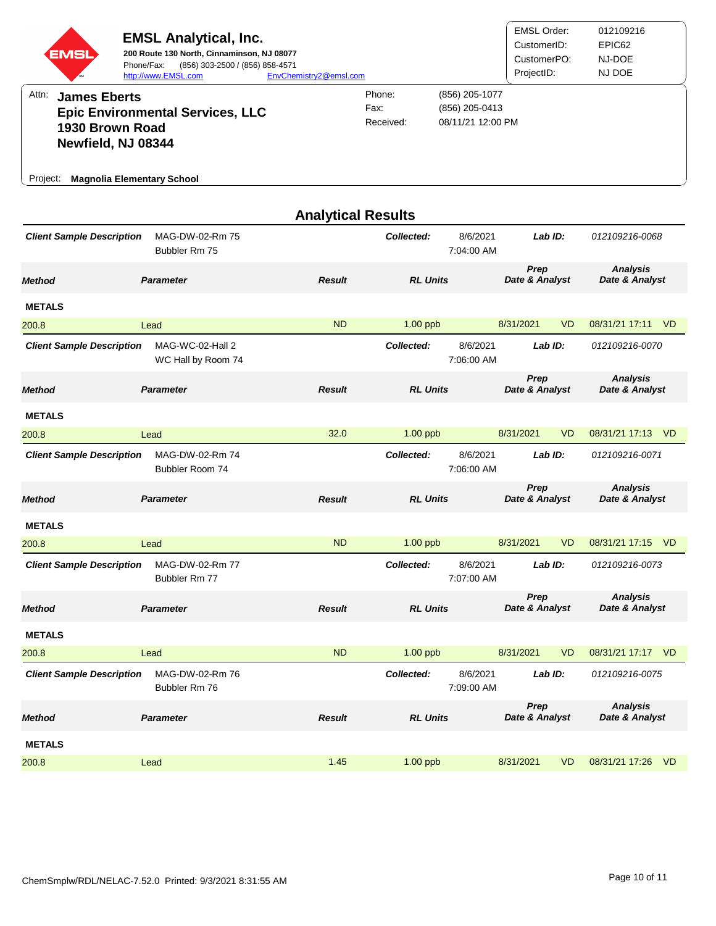| EMSI                                                                                                                   | <b>EMSL Analytical, Inc.</b><br>200 Route 130 North, Cinnaminson, NJ 08077<br>Phone/Fax:<br>(856) 303-2500 / (856) 858-4571<br>http://www.EMSL.com | EnvChemistry2@emsl.com    |                             |                                                       | <b>EMSL Order:</b><br>CustomerID:<br>CustomerPO:<br>ProjectID: |           | 012109216<br>EPIC62<br>NJ-DOE<br>NJ DOE |
|------------------------------------------------------------------------------------------------------------------------|----------------------------------------------------------------------------------------------------------------------------------------------------|---------------------------|-----------------------------|-------------------------------------------------------|----------------------------------------------------------------|-----------|-----------------------------------------|
| Attn:<br><b>James Eberts</b><br>1930 Brown Road<br>Newfield, NJ 08344<br><b>Magnolia Elementary School</b><br>Project: | <b>Epic Environmental Services, LLC</b>                                                                                                            |                           | Phone:<br>Fax:<br>Received: | (856) 205-1077<br>(856) 205-0413<br>08/11/21 12:00 PM |                                                                |           |                                         |
|                                                                                                                        |                                                                                                                                                    | <b>Analytical Results</b> |                             |                                                       |                                                                |           |                                         |
| <b>Client Sample Description</b>                                                                                       | MAG-DW-02-Rm 75<br>Bubbler Rm 75                                                                                                                   |                           | Collected:                  | 8/6/2021<br>7:04:00 AM                                | Lab ID:                                                        |           | 012109216-0068                          |
| <b>Method</b>                                                                                                          | <b>Parameter</b>                                                                                                                                   | <b>Result</b>             | <b>RL Units</b>             |                                                       | Prep<br>Date & Analyst                                         |           | <b>Analysis</b><br>Date & Analyst       |
| <b>METALS</b>                                                                                                          |                                                                                                                                                    |                           |                             |                                                       |                                                                |           |                                         |
| 200.8                                                                                                                  | Lead                                                                                                                                               | <b>ND</b>                 | $1.00$ ppb                  |                                                       | 8/31/2021                                                      | VD.       | 08/31/21 17:11<br>V <sub>D</sub>        |
| <b>Client Sample Description</b>                                                                                       | MAG-WC-02-Hall 2<br>WC Hall by Room 74                                                                                                             |                           | Collected:                  | 8/6/2021<br>7:06:00 AM                                | Lab $ID:$                                                      |           | 012109216-0070                          |
| <b>Method</b>                                                                                                          | <b>Parameter</b>                                                                                                                                   | <b>Result</b>             | <b>RL Units</b>             |                                                       | Prep<br>Date & Analyst                                         |           | <b>Analysis</b><br>Date & Analyst       |
| <b>METALS</b>                                                                                                          |                                                                                                                                                    |                           |                             |                                                       |                                                                |           |                                         |
| 200.8                                                                                                                  | Lead                                                                                                                                               | 32.0                      | 1.00 ppb                    |                                                       | 8/31/2021                                                      | VD        | 08/31/21 17:13 VD                       |
| <b>Client Sample Description</b>                                                                                       | MAG-DW-02-Rm 74<br>Bubbler Room 74                                                                                                                 |                           | Collected:                  | 8/6/2021<br>7:06:00 AM                                | Lab ID:                                                        |           | 012109216-0071                          |
| <b>Method</b>                                                                                                          | <b>Parameter</b>                                                                                                                                   | <b>Result</b>             | <b>RL Units</b>             |                                                       | Prep<br>Date & Analyst                                         |           | <b>Analysis</b><br>Date & Analyst       |
| <b>METALS</b>                                                                                                          |                                                                                                                                                    |                           |                             |                                                       |                                                                |           |                                         |
| 200.8                                                                                                                  | Lead                                                                                                                                               | ND                        | 1.00 ppb                    |                                                       | 8/31/2021                                                      | VD        | 08/31/21 17:15 VD                       |
| <b>Client Sample Description</b>                                                                                       | MAG-DW-02-Rm 77<br>Bubbler Rm 77                                                                                                                   |                           | Collected:                  | 8/6/2021<br>7:07:00 AM                                | Lab ID:                                                        |           | 012109216-0073                          |
| <b>Method</b>                                                                                                          | <b>Parameter</b>                                                                                                                                   | <b>Result</b>             | <b>RL Units</b>             |                                                       | Prep<br>Date & Analyst                                         |           | <b>Analysis</b><br>Date & Analyst       |
| <b>METALS</b>                                                                                                          |                                                                                                                                                    |                           |                             |                                                       |                                                                |           |                                         |
| 200.8                                                                                                                  | Lead                                                                                                                                               | <b>ND</b>                 | 1.00 ppb                    |                                                       | 8/31/2021                                                      | VD        | 08/31/21 17:17 VD                       |
| <b>Client Sample Description</b>                                                                                       | MAG-DW-02-Rm 76<br>Bubbler Rm 76                                                                                                                   |                           | Collected:                  | 8/6/2021<br>7:09:00 AM                                | Lab ID:                                                        |           | 012109216-0075                          |
| <b>Method</b>                                                                                                          | <b>Parameter</b>                                                                                                                                   | <b>Result</b>             | <b>RL Units</b>             |                                                       | Prep<br>Date & Analyst                                         |           | <b>Analysis</b><br>Date & Analyst       |
| <b>METALS</b>                                                                                                          |                                                                                                                                                    |                           |                             |                                                       |                                                                |           |                                         |
| 200.8                                                                                                                  | Lead                                                                                                                                               | 1.45                      | 1.00 ppb                    |                                                       | 8/31/2021                                                      | <b>VD</b> | 08/31/21 17:26 VD                       |